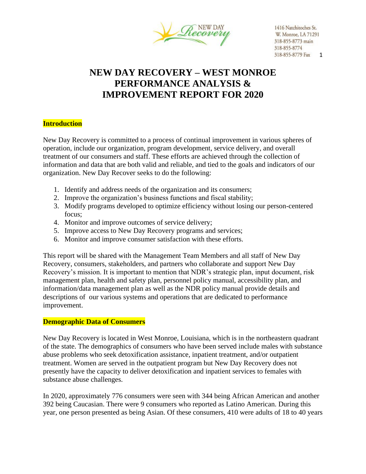

# **NEW DAY RECOVERY – WEST MONROE PERFORMANCE ANALYSIS & IMPROVEMENT REPORT FOR 2020**

## **Introduction**

New Day Recovery is committed to a process of continual improvement in various spheres of operation, include our organization, program development, service delivery, and overall treatment of our consumers and staff. These efforts are achieved through the collection of information and data that are both valid and reliable, and tied to the goals and indicators of our organization. New Day Recover seeks to do the following:

- 1. Identify and address needs of the organization and its consumers;
- 2. Improve the organization's business functions and fiscal stability;
- 3. Modify programs developed to optimize efficiency without losing our person-centered focus;
- 4. Monitor and improve outcomes of service delivery;
- 5. Improve access to New Day Recovery programs and services;
- 6. Monitor and improve consumer satisfaction with these efforts.

This report will be shared with the Management Team Members and all staff of New Day Recovery, consumers, stakeholders, and partners who collaborate and support New Day Recovery's mission. It is important to mention that NDR's strategic plan, input document, risk management plan, health and safety plan, personnel policy manual, accessibility plan, and information/data management plan as well as the NDR policy manual provide details and descriptions of our various systems and operations that are dedicated to performance improvement.

## **Demographic Data of Consumers**

New Day Recovery is located in West Monroe, Louisiana, which is in the northeastern quadrant of the state. The demographics of consumers who have been served include males with substance abuse problems who seek detoxification assistance, inpatient treatment, and/or outpatient treatment. Women are served in the outpatient program but New Day Recovery does not presently have the capacity to deliver detoxification and inpatient services to females with substance abuse challenges.

In 2020, approximately 776 consumers were seen with 344 being African American and another 392 being Caucasian. There were 9 consumers who reported as Latino American. During this year, one person presented as being Asian. Of these consumers, 410 were adults of 18 to 40 years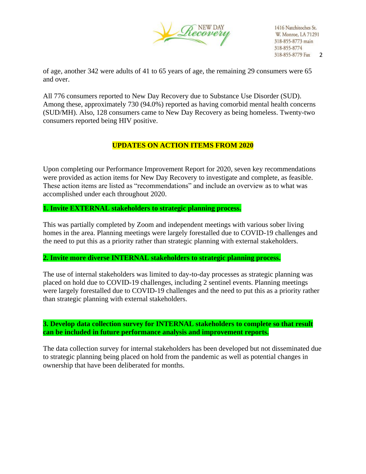

of age, another 342 were adults of 41 to 65 years of age, the remaining 29 consumers were 65 and over.

All 776 consumers reported to New Day Recovery due to Substance Use Disorder (SUD). Among these, approximately 730 (94.0%) reported as having comorbid mental health concerns (SUD/MH). Also, 128 consumers came to New Day Recovery as being homeless. Twenty-two consumers reported being HIV positive.

## **UPDATES ON ACTION ITEMS FROM 2020**

Upon completing our Performance Improvement Report for 2020, seven key recommendations were provided as action items for New Day Recovery to investigate and complete, as feasible. These action items are listed as "recommendations" and include an overview as to what was accomplished under each throughout 2020.

## **1. Invite EXTERNAL stakeholders to strategic planning process.**

This was partially completed by Zoom and independent meetings with various sober living homes in the area. Planning meetings were largely forestalled due to COVID-19 challenges and the need to put this as a priority rather than strategic planning with external stakeholders.

#### **2. Invite more diverse INTERNAL stakeholders to strategic planning process.**

The use of internal stakeholders was limited to day-to-day processes as strategic planning was placed on hold due to COVID-19 challenges, including 2 sentinel events. Planning meetings were largely forestalled due to COVID-19 challenges and the need to put this as a priority rather than strategic planning with external stakeholders.

**3. Develop data collection survey for INTERNAL stakeholders to complete so that result can be included in future performance analysis and improvement reports.**

The data collection survey for internal stakeholders has been developed but not disseminated due to strategic planning being placed on hold from the pandemic as well as potential changes in ownership that have been deliberated for months.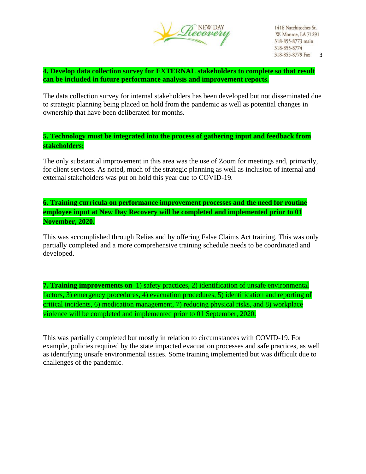

**4. Develop data collection survey for EXTERNAL stakeholders to complete so that result can be included in future performance analysis and improvement reports.**

The data collection survey for internal stakeholders has been developed but not disseminated due to strategic planning being placed on hold from the pandemic as well as potential changes in ownership that have been deliberated for months.

**5. Technology must be integrated into the process of gathering input and feedback from stakeholders:**

The only substantial improvement in this area was the use of Zoom for meetings and, primarily, for client services. As noted, much of the strategic planning as well as inclusion of internal and external stakeholders was put on hold this year due to COVID-19.

**6. Training curricula on performance improvement processes and the need for routine employee input at New Day Recovery will be completed and implemented prior to 01 November, 2020.**

This was accomplished through Relias and by offering False Claims Act training. This was only partially completed and a more comprehensive training schedule needs to be coordinated and developed.

**7. Training improvements on** 1) safety practices, 2) identification of unsafe environmental factors, 3) emergency procedures, 4) evacuation procedures, 5) identification and reporting of critical incidents, 6) medication management, 7) reducing physical risks, and 8) workplace violence will be completed and implemented prior to 01 September, 2020.

This was partially completed but mostly in relation to circumstances with COVID-19. For example, policies required by the state impacted evacuation processes and safe practices, as well as identifying unsafe environmental issues. Some training implemented but was difficult due to challenges of the pandemic.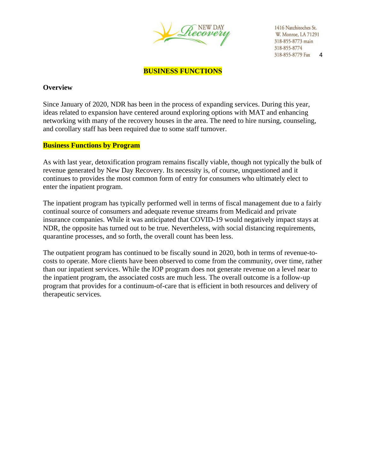

**BUSINESS FUNCTIONS**

#### **Overview**

Since January of 2020, NDR has been in the process of expanding services. During this year, ideas related to expansion have centered around exploring options with MAT and enhancing networking with many of the recovery houses in the area. The need to hire nursing, counseling, and corollary staff has been required due to some staff turnover.

#### **Business Functions by Program**

As with last year, detoxification program remains fiscally viable, though not typically the bulk of revenue generated by New Day Recovery. Its necessity is, of course, unquestioned and it continues to provides the most common form of entry for consumers who ultimately elect to enter the inpatient program.

The inpatient program has typically performed well in terms of fiscal management due to a fairly continual source of consumers and adequate revenue streams from Medicaid and private insurance companies. While it was anticipated that COVID-19 would negatively impact stays at NDR, the opposite has turned out to be true. Nevertheless, with social distancing requirements, quarantine processes, and so forth, the overall count has been less.

The outpatient program has continued to be fiscally sound in 2020, both in terms of revenue-tocosts to operate. More clients have been observed to come from the community, over time, rather than our inpatient services. While the IOP program does not generate revenue on a level near to the inpatient program, the associated costs are much less. The overall outcome is a follow-up program that provides for a continuum-of-care that is efficient in both resources and delivery of therapeutic services.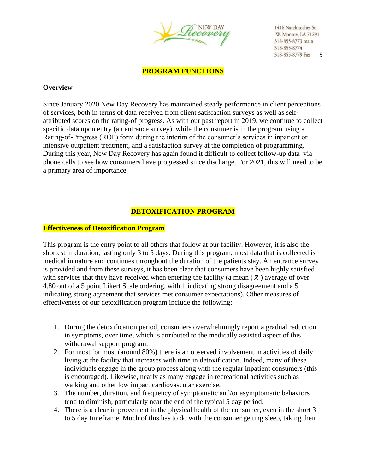

**PROGRAM FUNCTIONS**

#### **Overview**

Since January 2020 New Day Recovery has maintained steady performance in client perceptions of services, both in terms of data received from client satisfaction surveys as well as selfattributed scores on the rating-of progress. As with our past report in 2019, we continue to collect specific data upon entry (an entrance survey), while the consumer is in the program using a Rating-of-Progress (ROP) form during the interim of the consumer's services in inpatient or intensive outpatient treatment, and a satisfaction survey at the completion of programming. During this year, New Day Recovery has again found it difficult to collect follow-up data via phone calls to see how consumers have progressed since discharge. For 2021, this will need to be a primary area of importance.

## **DETOXIFICATION PROGRAM**

#### **Effectiveness of Detoxification Program**

This program is the entry point to all others that follow at our facility. However, it is also the shortest in duration, lasting only 3 to 5 days. During this program, most data that is collected is medical in nature and continues throughout the duration of the patients stay. An entrance survey is provided and from these surveys, it has been clear that consumers have been highly satisfied with services that they have received when entering the facility (a mean  $(\bar{x})$  average of over 4.80 out of a 5 point Likert Scale ordering, with 1 indicating strong disagreement and a 5 indicating strong agreement that services met consumer expectations). Other measures of effectiveness of our detoxification program include the following:

- 1. During the detoxification period, consumers overwhelmingly report a gradual reduction in symptoms, over time, which is attributed to the medically assisted aspect of this withdrawal support program.
- 2. For most for most (around 80%) there is an observed involvement in activities of daily living at the facility that increases with time in detoxification. Indeed, many of these individuals engage in the group process along with the regular inpatient consumers (this is encouraged). Likewise, nearly as many engage in recreational activities such as walking and other low impact cardiovascular exercise.
- 3. The number, duration, and frequency of symptomatic and/or asymptomatic behaviors tend to diminish, particularly near the end of the typical 5 day period.
- 4. There is a clear improvement in the physical health of the consumer, even in the short 3 to 5 day timeframe. Much of this has to do with the consumer getting sleep, taking their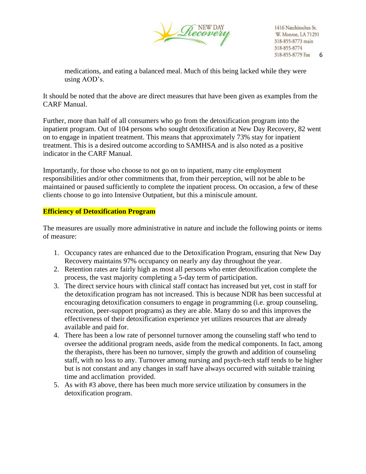

medications, and eating a balanced meal. Much of this being lacked while they were using AOD's.

It should be noted that the above are direct measures that have been given as examples from the CARF Manual.

Further, more than half of all consumers who go from the detoxification program into the inpatient program. Out of 104 persons who sought detoxification at New Day Recovery, 82 went on to engage in inpatient treatment. This means that approximately 73% stay for inpatient treatment. This is a desired outcome according to SAMHSA and is also noted as a positive indicator in the CARF Manual.

Importantly, for those who choose to not go on to inpatient, many cite employment responsibilities and/or other commitments that, from their perception, will not be able to be maintained or paused sufficiently to complete the inpatient process. On occasion, a few of these clients choose to go into Intensive Outpatient, but this a miniscule amount.

#### **Efficiency of Detoxification Program**

The measures are usually more administrative in nature and include the following points or items of measure:

- 1. Occupancy rates are enhanced due to the Detoxification Program, ensuring that New Day Recovery maintains 97% occupancy on nearly any day throughout the year.
- 2. Retention rates are fairly high as most all persons who enter detoxification complete the process, the vast majority completing a 5-day term of participation.
- 3. The direct service hours with clinical staff contact has increased but yet, cost in staff for the detoxification program has not increased. This is because NDR has been successful at encouraging detoxification consumers to engage in programming (i.e. group counseling, recreation, peer-support programs) as they are able. Many do so and this improves the effectiveness of their detoxification experience yet utilizes resources that are already available and paid for.
- 4. There has been a low rate of personnel turnover among the counseling staff who tend to oversee the additional program needs, aside from the medical components. In fact, among the therapists, there has been no turnover, simply the growth and addition of counseling staff, with no loss to any. Turnover among nursing and psych-tech staff tends to be higher but is not constant and any changes in staff have always occurred with suitable training time and acclimation provided.
- 5. As with #3 above, there has been much more service utilization by consumers in the detoxification program.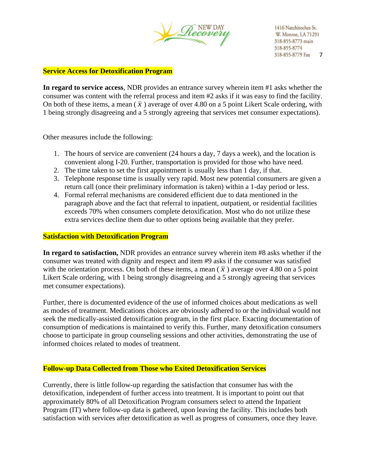

#### **Service Access for Detoxification Program**

**In regard to service access**, NDR provides an entrance survey wherein item #1 asks whether the consumer was content with the referral process and item #2 asks if it was easy to find the facility. On both of these items, a mean  $(\bar{x})$  average of over 4.80 on a 5 point Likert Scale ordering, with 1 being strongly disagreeing and a 5 strongly agreeing that services met consumer expectations).

Other measures include the following:

- 1. The hours of service are convenient (24 hours a day, 7 days a week), and the location is convenient along I-20. Further, transportation is provided for those who have need.
- 2. The time taken to set the first appointment is usually less than 1 day, if that.
- 3. Telephone response time is usually very rapid. Most new potential consumers are given a return call (once their preliminary information is taken) within a 1-day period or less.
- 4. Formal referral mechanisms are considered efficient due to data mentioned in the paragraph above and the fact that referral to inpatient, outpatient, or residential facilities exceeds 70% when consumers complete detoxification. Most who do not utilize these extra services decline them due to other options being available that they prefer.

#### **Satisfaction with Detoxification Program**

**In regard to satisfaction,** NDR provides an entrance survey wherein item #8 asks whether if the consumer was treated with dignity and respect and item #9 asks if the consumer was satisfied with the orientation process. On both of these items, a mean  $(\bar{x})$  average over 4.80 on a 5 point Likert Scale ordering, with 1 being strongly disagreeing and a 5 strongly agreeing that services met consumer expectations).

Further, there is documented evidence of the use of informed choices about medications as well as modes of treatment. Medications choices are obviously adhered to or the individual would not seek the medically-assisted detoxification program, in the first place. Exacting documentation of consumption of medications is maintained to verify this. Further, many detoxification consumers choose to participate in group counseling sessions and other activities, demonstrating the use of informed choices related to modes of treatment.

#### **Follow-up Data Collected from Those who Exited Detoxification Services**

Currently, there is little follow-up regarding the satisfaction that consumer has with the detoxification, independent of further access into treatment. It is important to point out that approximately 80% of all Detoxification Program consumers select to attend the Inpatient Program (IT) where follow-up data is gathered, upon leaving the facility. This includes both satisfaction with services after detoxification as well as progress of consumers, once they leave.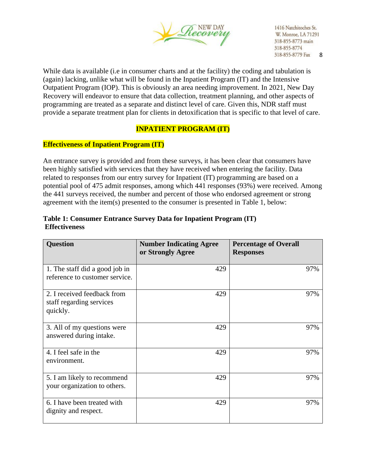

While data is available (i.e in consumer charts and at the facility) the coding and tabulation is (again) lacking, unlike what will be found in the Inpatient Program (IT) and the Intensive Outpatient Program (IOP). This is obviously an area needing improvement. In 2021, New Day Recovery will endeavor to ensure that data collection, treatment planning, and other aspects of programming are treated as a separate and distinct level of care. Given this, NDR staff must provide a separate treatment plan for clients in detoxification that is specific to that level of care.

# **INPATIENT PROGRAM (IT)**

## **Effectiveness of Inpatient Program (IT)**

An entrance survey is provided and from these surveys, it has been clear that consumers have been highly satisfied with services that they have received when entering the facility. Data related to responses from our entry survey for Inpatient (IT) programming are based on a potential pool of 475 admit responses, among which 441 responses (93%) were received. Among the 441 surveys received, the number and percent of those who endorsed agreement or strong agreement with the item(s) presented to the consumer is presented in Table 1, below:

| <b>Question</b>                                                     | <b>Number Indicating Agree</b><br>or Strongly Agree | <b>Percentage of Overall</b><br><b>Responses</b> |
|---------------------------------------------------------------------|-----------------------------------------------------|--------------------------------------------------|
| 1. The staff did a good job in<br>reference to customer service.    | 429                                                 | 97%                                              |
| 2. I received feedback from<br>staff regarding services<br>quickly. | 429                                                 | 97%                                              |
| 3. All of my questions were<br>answered during intake.              | 429                                                 | 97%                                              |
| 4. I feel safe in the<br>environment.                               | 429                                                 | 97%                                              |
| 5. I am likely to recommend<br>your organization to others.         | 429                                                 | 97%                                              |
| 6. I have been treated with<br>dignity and respect.                 | 429                                                 | 97%                                              |

## **Table 1: Consumer Entrance Survey Data for Inpatient Program (IT) Effectiveness**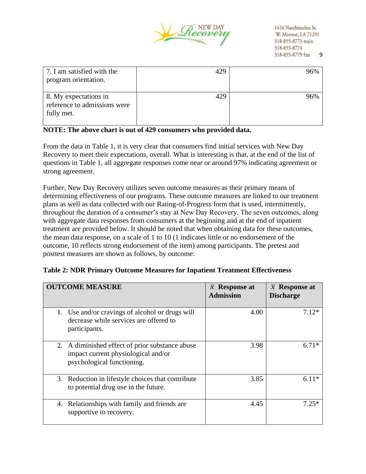

| 7. I am satisfied with the<br>program orientation.                  | 429 | 96% |
|---------------------------------------------------------------------|-----|-----|
| 8. My expectations in<br>reference to admissions were<br>fully met. | 429 | 96% |

## **NOTE: The above chart is out of 429 consumers who provided data.**

From the data in Table 1, it is very clear that consumers find initial services with New Day Recovery to meet their expectations, overall. What is interesting is that, at the end of the list of questions in Table 1, all aggregate responses come near or around 97% indicating agreement or strong agreement.

Further, New Day Recovery utilizes seven outcome measures as their primary means of determining effectiveness of our programs. These outcome measures are linked to our treatment plans as well as data collected with our Rating-of-Progress form that is used, intermittently, throughout the duration of a consumer's stay at New Day Recovery. The seven outcomes, along with aggregate data responses from consumers at the beginning and at the end of inpatient treatment are provided below. It should be noted that when obtaining data for these outcomes, the mean data response, on a scale of 1 to 10 (1 indicates little or no endorsement of the outcome, 10 reflects strong endorsement of the item) among participants. The pretest and posttest measures are shown as follows, by outcome:

| <b>OUTCOME MEASURE</b>                                                                                               | $\bar{x}$ Response at<br><b>Admission</b> | $\bar{x}$ Response at<br><b>Discharge</b> |
|----------------------------------------------------------------------------------------------------------------------|-------------------------------------------|-------------------------------------------|
| 1. Use and/or cravings of alcohol or drugs will<br>decrease while services are offered to<br>participants.           | 4.00                                      | $7.12*$                                   |
| 2. A diminished effect of prior substance abuse<br>impact current physiological and/or<br>psychological functioning. | 3.98                                      | $6.71*$                                   |
| 3. Reduction in lifestyle choices that contribute<br>to potential drug use in the future.                            | 3.85                                      | $6.11*$                                   |
| Relationships with family and friends are.<br>4.<br>supportive to recovery.                                          | 4.45                                      | $7.25*$                                   |

#### **Table 2: NDR Primary Outcome Measures for Inpatient Treatment Effectiveness**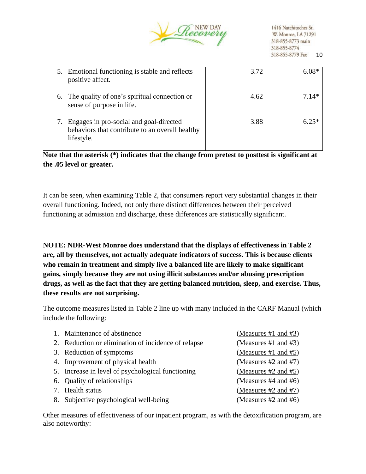

| 5. Emotional functioning is stable and reflects<br>positive affect.                                      | 3.72 | $6.08*$ |
|----------------------------------------------------------------------------------------------------------|------|---------|
| 6. The quality of one's spiritual connection or<br>sense of purpose in life.                             | 4.62 | $7.14*$ |
| Engages in pro-social and goal-directed<br>behaviors that contribute to an overall healthy<br>lifestyle. | 3.88 | $6.25*$ |

**Note that the asterisk (\*) indicates that the change from pretest to posttest is significant at the .05 level or greater.** 

It can be seen, when examining Table 2, that consumers report very substantial changes in their overall functioning. Indeed, not only there distinct differences between their perceived functioning at admission and discharge, these differences are statistically significant.

**NOTE: NDR-West Monroe does understand that the displays of effectiveness in Table 2 are, all by themselves, not actually adequate indicators of success. This is because clients who remain in treatment and simply live a balanced life are likely to make significant gains, simply because they are not using illicit substances and/or abusing prescription drugs, as well as the fact that they are getting balanced nutrition, sleep, and exercise. Thus, these results are not surprising.** 

The outcome measures listed in Table 2 line up with many included in the CARF Manual (which include the following:

| 1. Maintenance of abstinence                        | (Measures #1 and #3)      |
|-----------------------------------------------------|---------------------------|
| 2. Reduction or elimination of incidence of relapse | (Measures #1 and #3)      |
| 3. Reduction of symptoms                            | (Measures #1 and #5)      |
| 4. Improvement of physical health                   | (Measures #2 and #7)      |
| 5. Increase in level of psychological functioning   | (Measures $#2$ and $#5$ ) |
| 6. Quality of relationships                         | (Measures $#4$ and $#6$ ) |
| 7. Health status                                    | (Measures $#2$ and $#7$ ) |
| 8. Subjective psychological well-being              | (Measures $#2$ and $#6$ ) |

Other measures of effectiveness of our inpatient program, as with the detoxification program, are also noteworthy: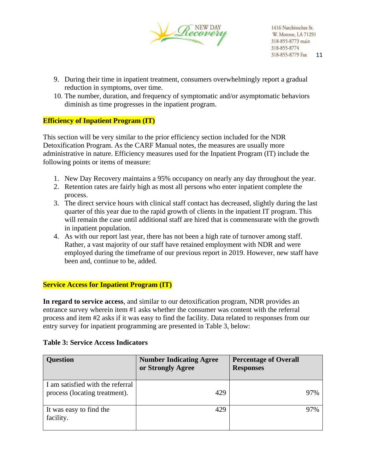

- 9. During their time in inpatient treatment, consumers overwhelmingly report a gradual reduction in symptoms, over time.
- 10. The number, duration, and frequency of symptomatic and/or asymptomatic behaviors diminish as time progresses in the inpatient program.

## **Efficiency of Inpatient Program (IT)**

This section will be very similar to the prior efficiency section included for the NDR Detoxification Program. As the CARF Manual notes, the measures are usually more administrative in nature. Efficiency measures used for the Inpatient Program (IT) include the following points or items of measure:

- 1. New Day Recovery maintains a 95% occupancy on nearly any day throughout the year.
- 2. Retention rates are fairly high as most all persons who enter inpatient complete the process.
- 3. The direct service hours with clinical staff contact has decreased, slightly during the last quarter of this year due to the rapid growth of clients in the inpatient IT program. This will remain the case until additional staff are hired that is commensurate with the growth in inpatient population.
- 4. As with our report last year, there has not been a high rate of turnover among staff. Rather, a vast majority of our staff have retained employment with NDR and were employed during the timeframe of our previous report in 2019. However, new staff have been and, continue to be, added.

#### **Service Access for Inpatient Program (IT)**

**In regard to service access**, and similar to our detoxification program, NDR provides an entrance survey wherein item #1 asks whether the consumer was content with the referral process and item #2 asks if it was easy to find the facility. Data related to responses from our entry survey for inpatient programming are presented in Table 3, below:

| <b>Question</b>                                                   | <b>Number Indicating Agree</b><br>or Strongly Agree | <b>Percentage of Overall</b><br><b>Responses</b> |
|-------------------------------------------------------------------|-----------------------------------------------------|--------------------------------------------------|
| I am satisfied with the referral<br>process (locating treatment). | 429                                                 | 97%                                              |
| It was easy to find the<br>facility.                              | 429                                                 | 97%                                              |

#### **Table 3: Service Access Indicators**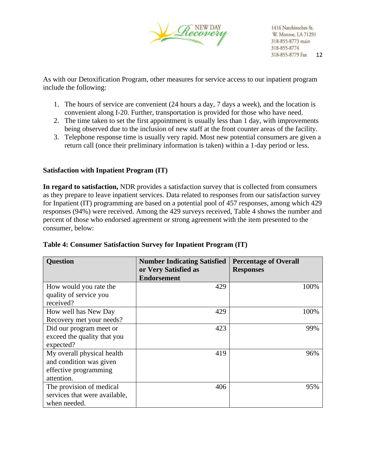

As with our Detoxification Program, other measures for service access to our inpatient program include the following:

- 1. The hours of service are convenient (24 hours a day, 7 days a week), and the location is convenient along I-20. Further, transportation is provided for those who have need.
- 2. The time taken to set the first appointment is usually less than 1 day, with improvements being observed due to the inclusion of new staff at the front counter areas of the facility.
- 3. Telephone response time is usually very rapid. Most new potential consumers are given a return call (once their preliminary information is taken) within a 1-day period or less.

## **Satisfaction with Inpatient Program (IT)**

**In regard to satisfaction,** NDR provides a satisfaction survey that is collected from consumers as they prepare to leave inpatient services. Data related to responses from our satisfaction survey for Inpatient (IT) programming are based on a potential pool of 457 responses, among which 429 responses (94%) were received. Among the 429 surveys received, Table 4 shows the number and percent of those who endorsed agreement or strong agreement with the item presented to the consumer, below:

| <b>Question</b>                     | <b>Number Indicating Satisfied</b><br>or Very Satisfied as<br><b>Endorsement</b> | <b>Percentage of Overall</b><br><b>Responses</b> |
|-------------------------------------|----------------------------------------------------------------------------------|--------------------------------------------------|
|                                     | 429                                                                              | 100%                                             |
| How would you rate the              |                                                                                  |                                                  |
| quality of service you<br>received? |                                                                                  |                                                  |
|                                     |                                                                                  |                                                  |
| How well has New Day                | 429                                                                              | 100%                                             |
| Recovery met your needs?            |                                                                                  |                                                  |
| Did our program meet or             | 423                                                                              | 99%                                              |
| exceed the quality that you         |                                                                                  |                                                  |
| expected?                           |                                                                                  |                                                  |
| My overall physical health          | 419                                                                              | 96%                                              |
| and condition was given             |                                                                                  |                                                  |
| effective programming               |                                                                                  |                                                  |
| attention.                          |                                                                                  |                                                  |
| The provision of medical            | 406                                                                              | 95%                                              |
| services that were available,       |                                                                                  |                                                  |
| when needed.                        |                                                                                  |                                                  |

#### **Table 4: Consumer Satisfaction Survey for Inpatient Program (IT)**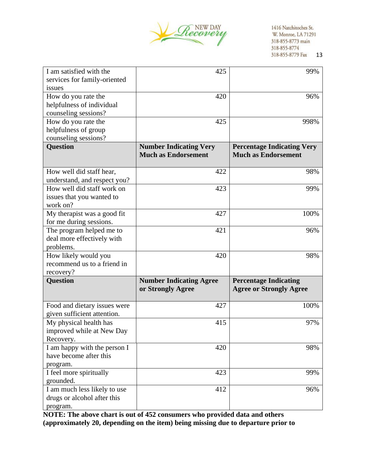

| I am satisfied with the      | 425                            | 99%                               |
|------------------------------|--------------------------------|-----------------------------------|
| services for family-oriented |                                |                                   |
| issues                       |                                |                                   |
| How do you rate the          | 420                            | 96%                               |
| helpfulness of individual    |                                |                                   |
| counseling sessions?         |                                |                                   |
| How do you rate the          | 425                            | 998%                              |
| helpfulness of group         |                                |                                   |
| counseling sessions?         |                                |                                   |
| <b>Question</b>              | <b>Number Indicating Very</b>  | <b>Percentage Indicating Very</b> |
|                              | <b>Much as Endorsement</b>     | <b>Much as Endorsement</b>        |
|                              |                                |                                   |
| How well did staff hear,     | 422                            | 98%                               |
| understand, and respect you? |                                |                                   |
| How well did staff work on   | 423                            | 99%                               |
| issues that you wanted to    |                                |                                   |
| work on?                     |                                |                                   |
| My therapist was a good fit  | 427                            | 100%                              |
| for me during sessions.      |                                |                                   |
| The program helped me to     | 421                            | 96%                               |
| deal more effectively with   |                                |                                   |
| problems.                    |                                |                                   |
| How likely would you         | 420                            | 98%                               |
| recommend us to a friend in  |                                |                                   |
| recovery?                    |                                |                                   |
| <b>Question</b>              | <b>Number Indicating Agree</b> | <b>Percentage Indicating</b>      |
|                              | or Strongly Agree              | <b>Agree or Strongly Agree</b>    |
|                              |                                |                                   |
| Food and dietary issues were | 427                            | 100%                              |
| given sufficient attention.  |                                |                                   |
| My physical health has       | 415                            | 97%                               |
| improved while at New Day    |                                |                                   |
| Recovery.                    |                                |                                   |
| I am happy with the person I | 420                            | 98%                               |
| have become after this       |                                |                                   |
| program.                     |                                |                                   |
| I feel more spiritually      | 423                            | 99%                               |
| grounded.                    |                                |                                   |
| I am much less likely to use | 412                            | 96%                               |
| drugs or alcohol after this  |                                |                                   |
| program.                     |                                |                                   |

**NOTE: The above chart is out of 452 consumers who provided data and others (approximately 20, depending on the item) being missing due to departure prior to**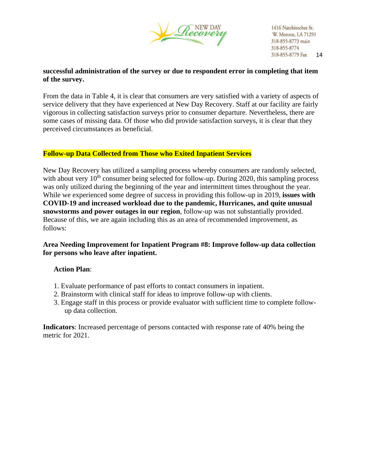

## **successful administration of the survey or due to respondent error in completing that item of the survey.**

From the data in Table 4, it is clear that consumers are very satisfied with a variety of aspects of service delivery that they have experienced at New Day Recovery. Staff at our facility are fairly vigorous in collecting satisfaction surveys prior to consumer departure. Nevertheless, there are some cases of missing data. Of those who did provide satisfaction surveys, it is clear that they perceived circumstances as beneficial.

## **Follow-up Data Collected from Those who Exited Inpatient Services**

New Day Recovery has utilized a sampling process whereby consumers are randomly selected, with about very  $10<sup>th</sup>$  consumer being selected for follow-up. During 2020, this sampling process was only utilized during the beginning of the year and intermittent times throughout the year. While we experienced some degree of success in providing this follow-up in 2019, **issues with COVID-19 and increased workload due to the pandemic, Hurricanes, and quite unusual snowstorms and power outages in our region**, follow-up was not substantially provided. Because of this, we are again including this as an area of recommended improvement, as follows:

## **Area Needing Improvement for Inpatient Program #8: Improve follow-up data collection for persons who leave after inpatient.**

#### **Action Plan**:

- 1. Evaluate performance of past efforts to contact consumers in inpatient.
- 2. Brainstorm with clinical staff for ideas to improve follow-up with clients.
- 3. Engage staff in this process or provide evaluator with sufficient time to complete followup data collection.

**Indicators**: Increased percentage of persons contacted with response rate of 40% being the metric for 2021.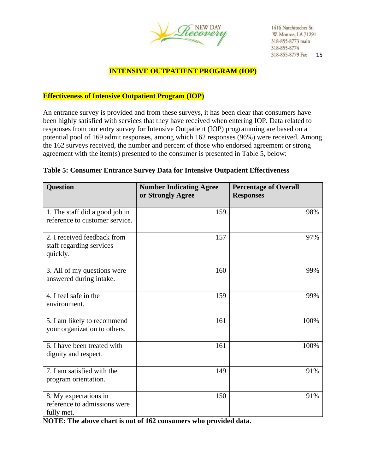

## **INTENSIVE OUTPATIENT PROGRAM (IOP)**

#### **Effectiveness of Intensive Outpatient Program (IOP)**

An entrance survey is provided and from these surveys, it has been clear that consumers have been highly satisfied with services that they have received when entering IOP. Data related to responses from our entry survey for Intensive Outpatient (IOP) programming are based on a potential pool of 169 admit responses, among which 162 responses (96%) were received. Among the 162 surveys received, the number and percent of those who endorsed agreement or strong agreement with the item(s) presented to the consumer is presented in Table 5, below:

| <b>Question</b>                                                     | <b>Number Indicating Agree</b><br>or Strongly Agree | <b>Percentage of Overall</b><br><b>Responses</b> |
|---------------------------------------------------------------------|-----------------------------------------------------|--------------------------------------------------|
| 1. The staff did a good job in<br>reference to customer service.    | 159                                                 | 98%                                              |
| 2. I received feedback from<br>staff regarding services<br>quickly. | 157                                                 | 97%                                              |
| 3. All of my questions were<br>answered during intake.              | 160                                                 | 99%                                              |
| 4. I feel safe in the<br>environment.                               | 159                                                 | 99%                                              |
| 5. I am likely to recommend<br>your organization to others.         | 161                                                 | 100%                                             |
| 6. I have been treated with<br>dignity and respect.                 | 161                                                 | 100%                                             |
| 7. I am satisfied with the<br>program orientation.                  | 149                                                 | 91%                                              |
| 8. My expectations in<br>reference to admissions were<br>fully met. | 150                                                 | 91%                                              |

#### **Table 5: Consumer Entrance Survey Data for Intensive Outpatient Effectiveness**

**NOTE: The above chart is out of 162 consumers who provided data.**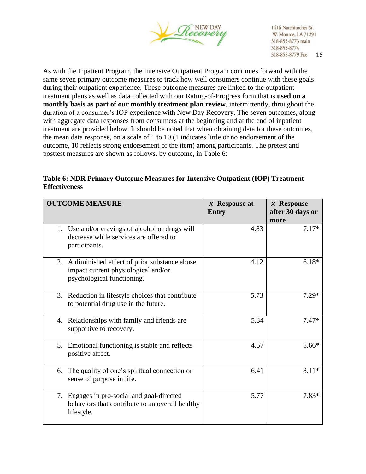

As with the Inpatient Program, the Intensive Outpatient Program continues forward with the same seven primary outcome measures to track how well consumers continue with these goals during their outpatient experience. These outcome measures are linked to the outpatient treatment plans as well as data collected with our Rating-of-Progress form that is **used on a monthly basis as part of our monthly treatment plan review**, intermittently, throughout the duration of a consumer's IOP experience with New Day Recovery. The seven outcomes, along with aggregate data responses from consumers at the beginning and at the end of inpatient treatment are provided below. It should be noted that when obtaining data for these outcomes, the mean data response, on a scale of 1 to 10 (1 indicates little or no endorsement of the outcome, 10 reflects strong endorsement of the item) among participants. The pretest and posttest measures are shown as follows, by outcome, in Table 6:

**Table 6: NDR Primary Outcome Measures for Intensive Outpatient (IOP) Treatment Effectiveness**

| <b>OUTCOME MEASURE</b>                                                                                               | $\bar{x}$ Response at<br><b>Entry</b> | $\bar{x}$ Response<br>after 30 days or<br>more |
|----------------------------------------------------------------------------------------------------------------------|---------------------------------------|------------------------------------------------|
| 1. Use and/or cravings of alcohol or drugs will<br>decrease while services are offered to<br>participants.           | 4.83                                  | $7.17*$                                        |
| 2. A diminished effect of prior substance abuse<br>impact current physiological and/or<br>psychological functioning. | 4.12                                  | $6.18*$                                        |
| 3. Reduction in lifestyle choices that contribute<br>to potential drug use in the future.                            | 5.73                                  | $7.29*$                                        |
| Relationships with family and friends are<br>4.<br>supportive to recovery.                                           | 5.34                                  | $7.47*$                                        |
| Emotional functioning is stable and reflects<br>5.<br>positive affect.                                               | 4.57                                  | $5.66*$                                        |
| The quality of one's spiritual connection or<br>6.<br>sense of purpose in life.                                      | 6.41                                  | $8.11*$                                        |
| 7. Engages in pro-social and goal-directed<br>behaviors that contribute to an overall healthy<br>lifestyle.          | 5.77                                  | $7.83*$                                        |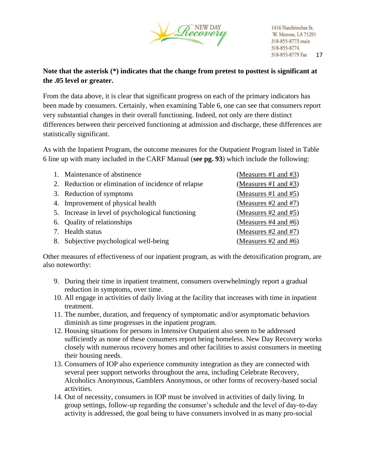

# **Note that the asterisk (\*) indicates that the change from pretest to posttest is significant at the .05 level or greater.**

From the data above, it is clear that significant progress on each of the primary indicators has been made by consumers. Certainly, when examining Table 6, one can see that consumers report very substantial changes in their overall functioning. Indeed, not only are there distinct differences between their perceived functioning at admission and discharge, these differences are statistically significant.

As with the Inpatient Program, the outcome measures for the Outpatient Program listed in Table 6 line up with many included in the CARF Manual (**see pg. 93**) which include the following:

| 1. Maintenance of abstinence                        | (Measures #1 and #3)      |
|-----------------------------------------------------|---------------------------|
| 2. Reduction or elimination of incidence of relapse | (Measures $#1$ and $#3$ ) |
| 3. Reduction of symptoms                            | (Measures #1 and $#5$ )   |
| 4. Improvement of physical health                   | (Measures $#2$ and $#7$ ) |
| 5. Increase in level of psychological functioning   | (Measures $#2$ and $#5$ ) |
| 6. Quality of relationships                         | (Measures #4 and #6)      |
| 7. Health status                                    | (Measures $#2$ and $#7$ ) |
| 8. Subjective psychological well-being              | (Measures #2 and #6)      |

Other measures of effectiveness of our inpatient program, as with the detoxification program, are also noteworthy:

- 9. During their time in inpatient treatment, consumers overwhelmingly report a gradual reduction in symptoms, over time.
- 10. All engage in activities of daily living at the facility that increases with time in inpatient treatment.
- 11. The number, duration, and frequency of symptomatic and/or asymptomatic behaviors diminish as time progresses in the inpatient program.
- 12. Housing situations for persons in Intensive Outpatient also seem to be addressed sufficiently as none of these consumers report being homeless. New Day Recovery works closely with numerous recovery homes and other facilities to assist consumers in meeting their housing needs.
- 13. Consumers of IOP also experience community integration as they are connected with several peer support networks throughout the area, including Celebrate Recovery, Alcoholics Anonymous, Gamblers Anonymous, or other forms of recovery-based social activities.
- 14. Out of necessity, consumers in IOP must be involved in activities of daily living. In group settings, follow-up regarding the consumer's schedule and the level of day-to-day activity is addressed, the goal being to have consumers involved in as many pro-social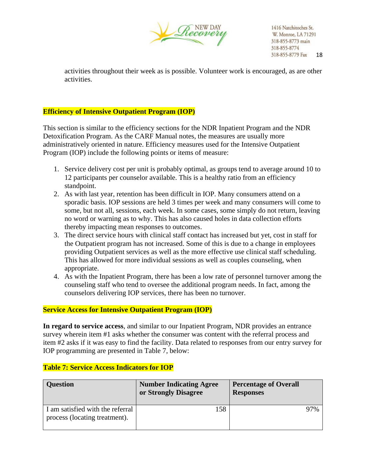

activities throughout their week as is possible. Volunteer work is encouraged, as are other activities.

## **Efficiency of Intensive Outpatient Program (IOP)**

This section is similar to the efficiency sections for the NDR Inpatient Program and the NDR Detoxification Program. As the CARF Manual notes, the measures are usually more administratively oriented in nature. Efficiency measures used for the Intensive Outpatient Program (IOP) include the following points or items of measure:

- 1. Service delivery cost per unit is probably optimal, as groups tend to average around 10 to 12 participants per counselor available. This is a healthy ratio from an efficiency standpoint.
- 2. As with last year, retention has been difficult in IOP. Many consumers attend on a sporadic basis. IOP sessions are held 3 times per week and many consumers will come to some, but not all, sessions, each week. In some cases, some simply do not return, leaving no word or warning as to why. This has also caused holes in data collection efforts thereby impacting mean responses to outcomes.
- 3. The direct service hours with clinical staff contact has increased but yet, cost in staff for the Outpatient program has not increased. Some of this is due to a change in employees providing Outpatient services as well as the more effective use clinical staff scheduling. This has allowed for more individual sessions as well as couples counseling, when appropriate.
- 4. As with the Inpatient Program, there has been a low rate of personnel turnover among the counseling staff who tend to oversee the additional program needs. In fact, among the counselors delivering IOP services, there has been no turnover.

#### **Service Access for Intensive Outpatient Program (IOP)**

**In regard to service access**, and similar to our Inpatient Program, NDR provides an entrance survey wherein item #1 asks whether the consumer was content with the referral process and item #2 asks if it was easy to find the facility. Data related to responses from our entry survey for IOP programming are presented in Table 7, below:

| <b>Question</b>                                                   | <b>Number Indicating Agree</b><br>or Strongly Disagree | <b>Percentage of Overall</b><br><b>Responses</b> |  |
|-------------------------------------------------------------------|--------------------------------------------------------|--------------------------------------------------|--|
| I am satisfied with the referral<br>process (locating treatment). | 158                                                    | 97%                                              |  |

#### **Table 7: Service Access Indicators for IOP**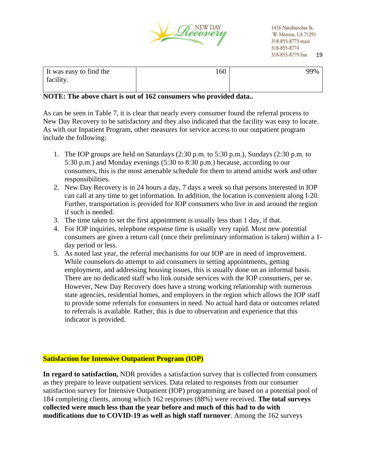

| It was easy to find the | 60 | 99% |
|-------------------------|----|-----|
| facility.               |    |     |

#### **NOTE: The above chart is out of 162 consumers who provided data..**

As can be seen in Table 7, it is clear that nearly every consumer found the referral process to New Day Recovery to be satisfactory and they also indicated that the facility was easy to locate. As with our Inpatient Program, other measures for service access to our outpatient program include the following:

- 1. The IOP groups are held on Saturdays (2:30 p.m. to 5:30 p.m.), Sundays (2:30 p.m. to 5:30 p.m.) and Monday evenings (5:30 to 8:30 p.m.) because, according to our consumers, this is the most amenable schedule for them to attend amidst work and other responsibilities.
- 2. New Day Recovery is in 24 hours a day, 7 days a week so that persons interested in IOP can call at any time to get information. In addition, the location is convenient along I-20. Further, transportation is provided for IOP consumers who live in and around the region if such is needed.
- 3. The time taken to set the first appointment is usually less than 1 day, if that.
- 4. For IOP inquiries, telephone response time is usually very rapid. Most new potential consumers are given a return call (once their preliminary information is taken) within a 1 day period or less.
- 5. As noted last year, the referral mechanisms for our IOP are in need of improvement. While counselors do attempt to aid consumers in setting appointments, getting employment, and addressing housing issues, this is usually done on an informal basis. There are no dedicated staff who link outside services with the IOP consumers, per se. However, New Day Recovery does have a strong working relationship with numerous state agencies, residential homes, and employers in the region which allows the IOP staff to provide some referrals for consumers in need. No actual hard data or outcomes related to referrals is available. Rather, this is due to observation and experience that this indicator is provided.

#### **Satisfaction for Intensive Outpatient Program (IOP)**

**In regard to satisfaction,** NDR provides a satisfaction survey that is collected from consumers as they prepare to leave outpatient services. Data related to responses from our consumer satisfaction survey for Intensive Outpatient (IOP) programming are based on a potential pool of 184 completing clients, among which 162 responses (88%) were received. **The total surveys collected were much less than the year before and much of this had to do with modifications due to COVID-19 as well as high staff turnover**. Among the 162 surveys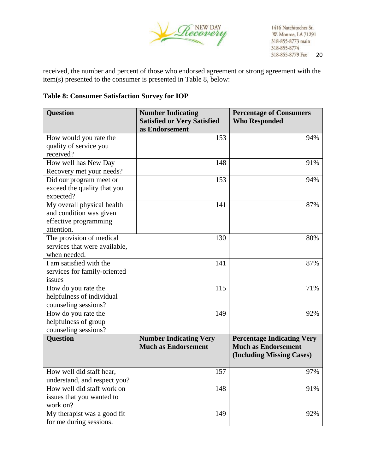

received, the number and percent of those who endorsed agreement or strong agreement with the item(s) presented to the consumer is presented in Table 8, below:

## **Table 8: Consumer Satisfaction Survey for IOP**

| <b>Question</b>                             | <b>Number Indicating</b><br><b>Satisfied or Very Satisfied</b><br>as Endorsement | <b>Percentage of Consumers</b><br><b>Who Responded</b> |
|---------------------------------------------|----------------------------------------------------------------------------------|--------------------------------------------------------|
| How would you rate the                      | 153                                                                              | 94%                                                    |
| quality of service you                      |                                                                                  |                                                        |
| received?                                   |                                                                                  |                                                        |
| How well has New Day                        | 148                                                                              | 91%                                                    |
| Recovery met your needs?                    |                                                                                  |                                                        |
| Did our program meet or                     | 153                                                                              | 94%                                                    |
| exceed the quality that you                 |                                                                                  |                                                        |
| expected?                                   |                                                                                  |                                                        |
| My overall physical health                  | 141                                                                              | 87%                                                    |
| and condition was given                     |                                                                                  |                                                        |
| effective programming                       |                                                                                  |                                                        |
| attention.                                  |                                                                                  |                                                        |
| The provision of medical                    | 130                                                                              | 80%                                                    |
| services that were available,               |                                                                                  |                                                        |
| when needed.                                |                                                                                  |                                                        |
| I am satisfied with the                     | 141                                                                              | 87%                                                    |
| services for family-oriented                |                                                                                  |                                                        |
| issues                                      |                                                                                  |                                                        |
| How do you rate the                         | 115                                                                              | 71%                                                    |
| helpfulness of individual                   |                                                                                  |                                                        |
| counseling sessions?                        | 149                                                                              | 92%                                                    |
| How do you rate the<br>helpfulness of group |                                                                                  |                                                        |
| counseling sessions?                        |                                                                                  |                                                        |
| <b>Question</b>                             | <b>Number Indicating Very</b>                                                    | <b>Percentage Indicating Very</b>                      |
|                                             | <b>Much as Endorsement</b>                                                       | <b>Much as Endorsement</b>                             |
|                                             |                                                                                  | (Including Missing Cases)                              |
|                                             |                                                                                  |                                                        |
| How well did staff hear,                    | 157                                                                              | 97%                                                    |
| understand, and respect you?                |                                                                                  |                                                        |
| How well did staff work on                  | 148                                                                              | 91%                                                    |
| issues that you wanted to                   |                                                                                  |                                                        |
| work on?                                    |                                                                                  |                                                        |
| My therapist was a good fit                 | 149                                                                              | 92%                                                    |
| for me during sessions.                     |                                                                                  |                                                        |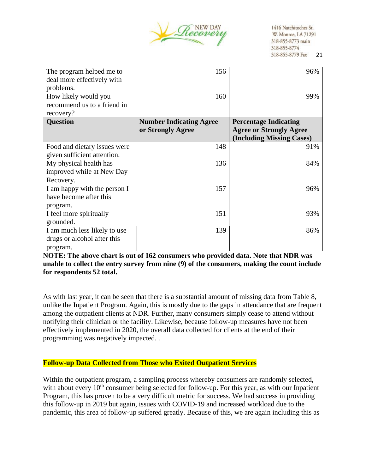

| The program helped me to<br>deal more effectively with<br>problems.     | 156                                                 | 96%                                                                                         |
|-------------------------------------------------------------------------|-----------------------------------------------------|---------------------------------------------------------------------------------------------|
| How likely would you<br>recommend us to a friend in<br>recovery?        | 160                                                 | 99%                                                                                         |
| <b>Question</b>                                                         | <b>Number Indicating Agree</b><br>or Strongly Agree | <b>Percentage Indicating</b><br><b>Agree or Strongly Agree</b><br>(Including Missing Cases) |
| Food and dietary issues were<br>given sufficient attention.             | 148                                                 | 91%                                                                                         |
| My physical health has<br>improved while at New Day<br>Recovery.        | 136                                                 | 84%                                                                                         |
| I am happy with the person I<br>have become after this<br>program.      | 157                                                 | 96%                                                                                         |
| I feel more spiritually<br>grounded.                                    | 151                                                 | 93%                                                                                         |
| I am much less likely to use<br>drugs or alcohol after this<br>program. | 139                                                 | 86%                                                                                         |

**NOTE: The above chart is out of 162 consumers who provided data. Note that NDR was unable to collect the entry survey from nine (9) of the consumers, making the count include for respondents 52 total.** 

As with last year, it can be seen that there is a substantial amount of missing data from Table 8, unlike the Inpatient Program. Again, this is mostly due to the gaps in attendance that are frequent among the outpatient clients at NDR. Further, many consumers simply cease to attend without notifying their clinician or the facility. Likewise, because follow-up measures have not been effectively implemented in 2020, the overall data collected for clients at the end of their programming was negatively impacted. .

#### **Follow-up Data Collected from Those who Exited Outpatient Services**

Within the outpatient program, a sampling process whereby consumers are randomly selected, with about every  $10<sup>th</sup>$  consumer being selected for follow-up. For this year, as with our Inpatient Program, this has proven to be a very difficult metric for success. We had success in providing this follow-up in 2019 but again, issues with COVID-19 and increased workload due to the pandemic, this area of follow-up suffered greatly. Because of this, we are again including this as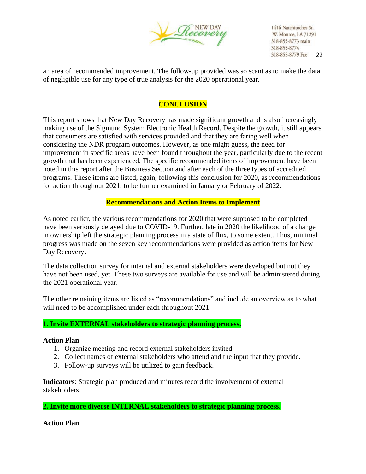

an area of recommended improvement. The follow-up provided was so scant as to make the data of negligible use for any type of true analysis for the 2020 operational year.

# **CONCLUSION**

This report shows that New Day Recovery has made significant growth and is also increasingly making use of the Sigmund System Electronic Health Record. Despite the growth, it still appears that consumers are satisfied with services provided and that they are faring well when considering the NDR program outcomes. However, as one might guess, the need for improvement in specific areas have been found throughout the year, particularly due to the recent growth that has been experienced. The specific recommended items of improvement have been noted in this report after the Business Section and after each of the three types of accredited programs. These items are listed, again, following this conclusion for 2020, as recommendations for action throughout 2021, to be further examined in January or February of 2022.

## **Recommendations and Action Items to Implement**

As noted earlier, the various recommendations for 2020 that were supposed to be completed have been seriously delayed due to COVID-19. Further, late in 2020 the likelihood of a change in ownership left the strategic planning process in a state of flux, to some extent. Thus, minimal progress was made on the seven key recommendations were provided as action items for New Day Recovery.

The data collection survey for internal and external stakeholders were developed but not they have not been used, yet. These two surveys are available for use and will be administered during the 2021 operational year.

The other remaining items are listed as "recommendations" and include an overview as to what will need to be accomplished under each throughout 2021.

#### **1. Invite EXTERNAL stakeholders to strategic planning process.**

#### **Action Plan**:

- 1. Organize meeting and record external stakeholders invited.
- 2. Collect names of external stakeholders who attend and the input that they provide.
- 3. Follow-up surveys will be utilized to gain feedback.

**Indicators**: Strategic plan produced and minutes record the involvement of external stakeholders.

**2. Invite more diverse INTERNAL stakeholders to strategic planning process.**

**Action Plan**: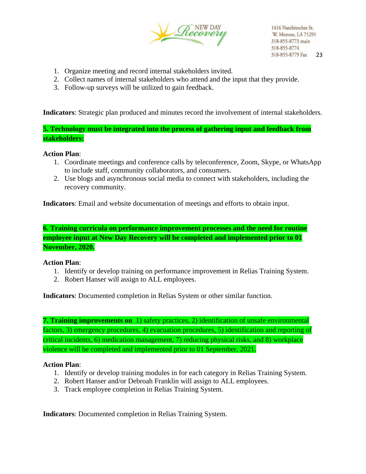

- 1. Organize meeting and record internal stakeholders invited.
- 2. Collect names of internal stakeholders who attend and the input that they provide.
- 3. Follow-up surveys will be utilized to gain feedback.

**Indicators**: Strategic plan produced and minutes record the involvement of internal stakeholders.

**5. Technology must be integrated into the process of gathering input and feedback from stakeholders:**

#### **Action Plan**:

- 1. Coordinate meetings and conference calls by teleconference, Zoom, Skype, or WhatsApp to include staff, community collaborators, and consumers.
- 2. Use blogs and asynchronous social media to connect with stakeholders, including the recovery community.

**Indicators**: Email and website documentation of meetings and efforts to obtain input.

**6. Training curricula on performance improvement processes and the need for routine employee input at New Day Recovery will be completed and implemented prior to 01 November, 2020.**

#### **Action Plan**:

- 1. Identify or develop training on performance improvement in Relias Training System.
- 2. Robert Hanser will assign to ALL employees.

**Indicators**: Documented completion in Relias System or other similar function.

**7. Training improvements on** 1) safety practices, 2) identification of unsafe environmental factors, 3) emergency procedures, 4) evacuation procedures, 5) identification and reporting of critical incidents, 6) medication management, 7) reducing physical risks, and 8) workplace violence will be completed and implemented prior to 01 September, 2021.

#### **Action Plan**:

- 1. Identify or develop training modules in for each category in Relias Training System.
- 2. Robert Hanser and/or Debroah Franklin will assign to ALL employees.
- 3. Track employee completion in Relias Training System.

**Indicators**: Documented completion in Relias Training System.